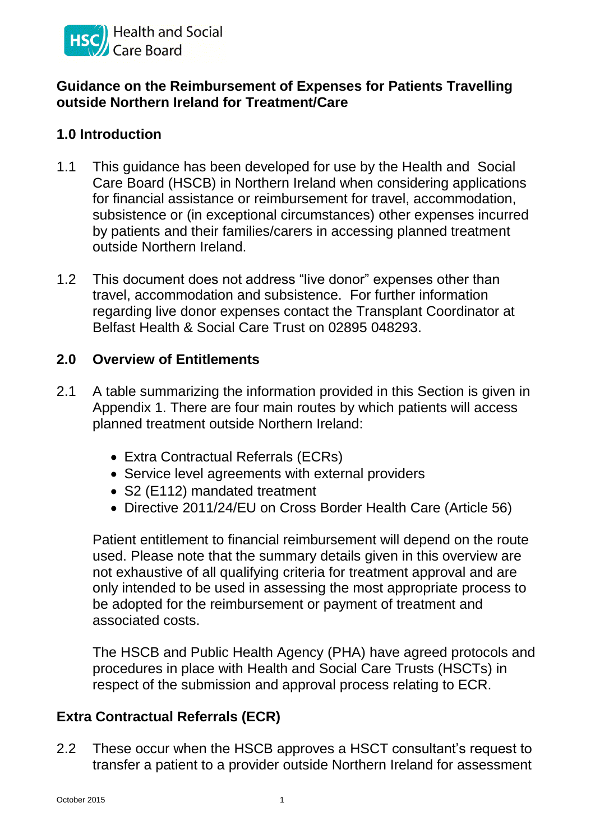

#### **Guidance on the Reimbursement of Expenses for Patients Travelling outside Northern Ireland for Treatment/Care**

## **1.0 Introduction**

- 1.1 This guidance has been developed for use by the Health and Social Care Board (HSCB) in Northern Ireland when considering applications for financial assistance or reimbursement for travel, accommodation, subsistence or (in exceptional circumstances) other expenses incurred by patients and their families/carers in accessing planned treatment outside Northern Ireland.
- 1.2 This document does not address "live donor" expenses other than travel, accommodation and subsistence. For further information regarding live donor expenses contact the Transplant Coordinator at Belfast Health & Social Care Trust on 02895 048293.

#### **2.0 Overview of Entitlements**

- 2.1 A table summarizing the information provided in this Section is given in Appendix 1. There are four main routes by which patients will access planned treatment outside Northern Ireland:
	- Extra Contractual Referrals (ECRs)
	- Service level agreements with external providers
	- S2 (E112) mandated treatment
	- Directive 2011/24/EU on Cross Border Health Care (Article 56)

Patient entitlement to financial reimbursement will depend on the route used. Please note that the summary details given in this overview are not exhaustive of all qualifying criteria for treatment approval and are only intended to be used in assessing the most appropriate process to be adopted for the reimbursement or payment of treatment and associated costs.

The HSCB and Public Health Agency (PHA) have agreed protocols and procedures in place with Health and Social Care Trusts (HSCTs) in respect of the submission and approval process relating to ECR.

## **Extra Contractual Referrals (ECR)**

2.2 These occur when the HSCB approves a HSCT consultant's request to transfer a patient to a provider outside Northern Ireland for assessment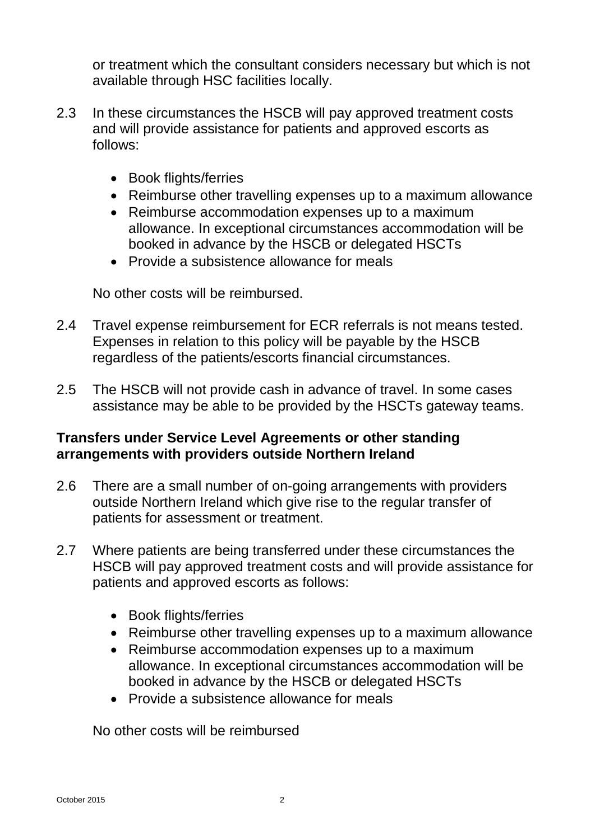or treatment which the consultant considers necessary but which is not available through HSC facilities locally.

- 2.3 In these circumstances the HSCB will pay approved treatment costs and will provide assistance for patients and approved escorts as follows:
	- Book flights/ferries
	- Reimburse other travelling expenses up to a maximum allowance
	- Reimburse accommodation expenses up to a maximum allowance. In exceptional circumstances accommodation will be booked in advance by the HSCB or delegated HSCTs
	- Provide a subsistence allowance for meals

No other costs will be reimbursed.

- 2.4 Travel expense reimbursement for ECR referrals is not means tested. Expenses in relation to this policy will be payable by the HSCB regardless of the patients/escorts financial circumstances.
- 2.5 The HSCB will not provide cash in advance of travel. In some cases assistance may be able to be provided by the HSCTs gateway teams.

## **Transfers under Service Level Agreements or other standing arrangements with providers outside Northern Ireland**

- 2.6 There are a small number of on-going arrangements with providers outside Northern Ireland which give rise to the regular transfer of patients for assessment or treatment.
- 2.7 Where patients are being transferred under these circumstances the HSCB will pay approved treatment costs and will provide assistance for patients and approved escorts as follows:
	- Book flights/ferries
	- Reimburse other travelling expenses up to a maximum allowance
	- Reimburse accommodation expenses up to a maximum allowance. In exceptional circumstances accommodation will be booked in advance by the HSCB or delegated HSCTs
	- Provide a subsistence allowance for meals

No other costs will be reimbursed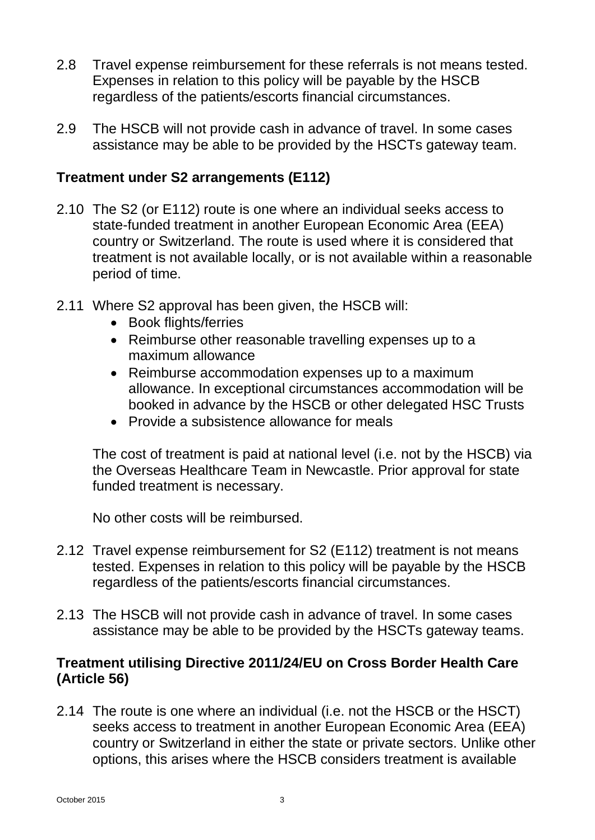- 2.8 Travel expense reimbursement for these referrals is not means tested. Expenses in relation to this policy will be payable by the HSCB regardless of the patients/escorts financial circumstances.
- 2.9 The HSCB will not provide cash in advance of travel. In some cases assistance may be able to be provided by the HSCTs gateway team.

## **Treatment under S2 arrangements (E112)**

- 2.10 The S2 (or E112) route is one where an individual seeks access to state-funded treatment in another European Economic Area (EEA) country or Switzerland. The route is used where it is considered that treatment is not available locally, or is not available within a reasonable period of time.
- 2.11 Where S2 approval has been given, the HSCB will:
	- Book flights/ferries
	- Reimburse other reasonable travelling expenses up to a maximum allowance
	- Reimburse accommodation expenses up to a maximum allowance. In exceptional circumstances accommodation will be booked in advance by the HSCB or other delegated HSC Trusts
	- Provide a subsistence allowance for meals

The cost of treatment is paid at national level (i.e. not by the HSCB) via the Overseas Healthcare Team in Newcastle. Prior approval for state funded treatment is necessary.

No other costs will be reimbursed.

- 2.12 Travel expense reimbursement for S2 (E112) treatment is not means tested. Expenses in relation to this policy will be payable by the HSCB regardless of the patients/escorts financial circumstances.
- 2.13 The HSCB will not provide cash in advance of travel. In some cases assistance may be able to be provided by the HSCTs gateway teams.

#### **Treatment utilising Directive 2011/24/EU on Cross Border Health Care (Article 56)**

2.14 The route is one where an individual (i.e. not the HSCB or the HSCT) seeks access to treatment in another European Economic Area (EEA) country or Switzerland in either the state or private sectors. Unlike other options, this arises where the HSCB considers treatment is available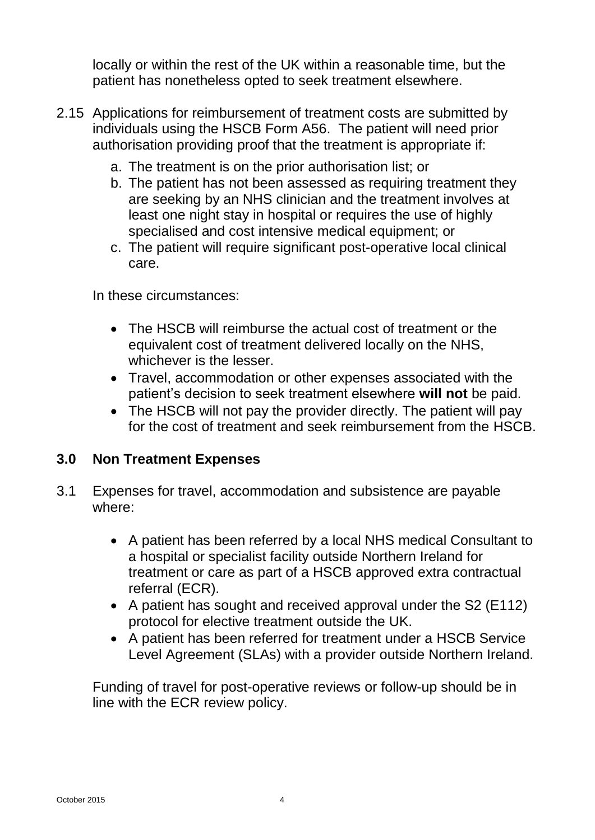locally or within the rest of the UK within a reasonable time, but the patient has nonetheless opted to seek treatment elsewhere.

- 2.15 Applications for reimbursement of treatment costs are submitted by individuals using the HSCB Form A56. The patient will need prior authorisation providing proof that the treatment is appropriate if:
	- a. The treatment is on the prior authorisation list; or
	- b. The patient has not been assessed as requiring treatment they are seeking by an NHS clinician and the treatment involves at least one night stay in hospital or requires the use of highly specialised and cost intensive medical equipment; or
	- c. The patient will require significant post-operative local clinical care.

In these circumstances:

- The HSCB will reimburse the actual cost of treatment or the equivalent cost of treatment delivered locally on the NHS, whichever is the lesser.
- Travel, accommodation or other expenses associated with the patient's decision to seek treatment elsewhere **will not** be paid.
- The HSCB will not pay the provider directly. The patient will pay for the cost of treatment and seek reimbursement from the HSCB.

# **3.0 Non Treatment Expenses**

- 3.1 Expenses for travel, accommodation and subsistence are payable where:
	- A patient has been referred by a local NHS medical Consultant to a hospital or specialist facility outside Northern Ireland for treatment or care as part of a HSCB approved extra contractual referral (ECR).
	- A patient has sought and received approval under the S2 (E112) protocol for elective treatment outside the UK.
	- A patient has been referred for treatment under a HSCB Service Level Agreement (SLAs) with a provider outside Northern Ireland.

Funding of travel for post-operative reviews or follow-up should be in line with the ECR review policy.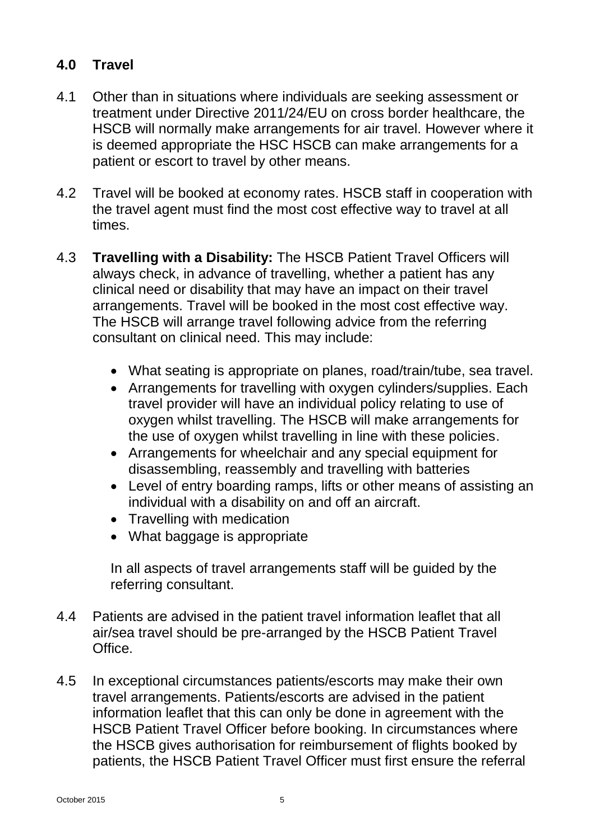# **4.0 Travel**

- 4.1 Other than in situations where individuals are seeking assessment or treatment under Directive 2011/24/EU on cross border healthcare, the HSCB will normally make arrangements for air travel. However where it is deemed appropriate the HSC HSCB can make arrangements for a patient or escort to travel by other means.
- 4.2 Travel will be booked at economy rates. HSCB staff in cooperation with the travel agent must find the most cost effective way to travel at all times.
- 4.3 **Travelling with a Disability:** The HSCB Patient Travel Officers will always check, in advance of travelling, whether a patient has any clinical need or disability that may have an impact on their travel arrangements. Travel will be booked in the most cost effective way. The HSCB will arrange travel following advice from the referring consultant on clinical need. This may include:
	- What seating is appropriate on planes, road/train/tube, sea travel.
	- Arrangements for travelling with oxygen cylinders/supplies. Each travel provider will have an individual policy relating to use of oxygen whilst travelling. The HSCB will make arrangements for the use of oxygen whilst travelling in line with these policies.
	- Arrangements for wheelchair and any special equipment for disassembling, reassembly and travelling with batteries
	- Level of entry boarding ramps, lifts or other means of assisting an individual with a disability on and off an aircraft.
	- Travelling with medication
	- What baggage is appropriate

In all aspects of travel arrangements staff will be guided by the referring consultant.

- 4.4 Patients are advised in the patient travel information leaflet that all air/sea travel should be pre-arranged by the HSCB Patient Travel Office.
- 4.5 In exceptional circumstances patients/escorts may make their own travel arrangements. Patients/escorts are advised in the patient information leaflet that this can only be done in agreement with the HSCB Patient Travel Officer before booking. In circumstances where the HSCB gives authorisation for reimbursement of flights booked by patients, the HSCB Patient Travel Officer must first ensure the referral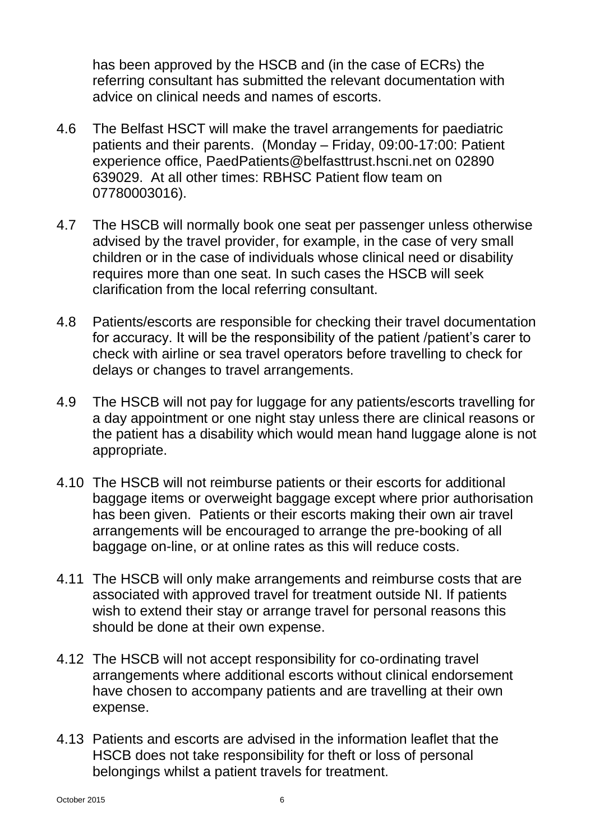has been approved by the HSCB and (in the case of ECRs) the referring consultant has submitted the relevant documentation with advice on clinical needs and names of escorts.

- 4.6 The Belfast HSCT will make the travel arrangements for paediatric patients and their parents. (Monday – Friday, 09:00-17:00: Patient experience office, PaedPatients@belfasttrust.hscni.net on 02890 639029. At all other times: RBHSC Patient flow team on 07780003016).
- 4.7 The HSCB will normally book one seat per passenger unless otherwise advised by the travel provider, for example, in the case of very small children or in the case of individuals whose clinical need or disability requires more than one seat. In such cases the HSCB will seek clarification from the local referring consultant.
- 4.8 Patients/escorts are responsible for checking their travel documentation for accuracy. It will be the responsibility of the patient /patient's carer to check with airline or sea travel operators before travelling to check for delays or changes to travel arrangements.
- 4.9 The HSCB will not pay for luggage for any patients/escorts travelling for a day appointment or one night stay unless there are clinical reasons or the patient has a disability which would mean hand luggage alone is not appropriate.
- 4.10 The HSCB will not reimburse patients or their escorts for additional baggage items or overweight baggage except where prior authorisation has been given. Patients or their escorts making their own air travel arrangements will be encouraged to arrange the pre-booking of all baggage on-line, or at online rates as this will reduce costs.
- 4.11 The HSCB will only make arrangements and reimburse costs that are associated with approved travel for treatment outside NI. If patients wish to extend their stay or arrange travel for personal reasons this should be done at their own expense.
- 4.12 The HSCB will not accept responsibility for co-ordinating travel arrangements where additional escorts without clinical endorsement have chosen to accompany patients and are travelling at their own expense.
- 4.13 Patients and escorts are advised in the information leaflet that the HSCB does not take responsibility for theft or loss of personal belongings whilst a patient travels for treatment.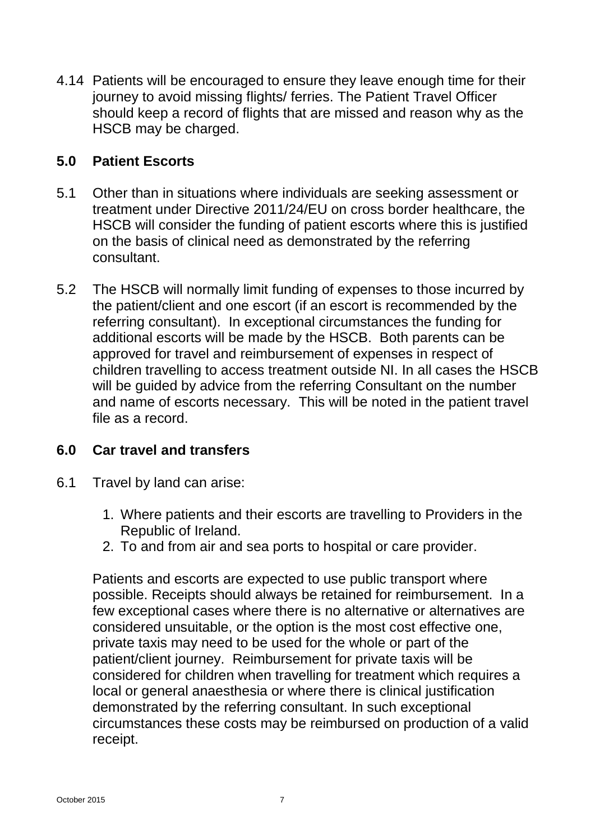4.14 Patients will be encouraged to ensure they leave enough time for their journey to avoid missing flights/ ferries. The Patient Travel Officer should keep a record of flights that are missed and reason why as the HSCB may be charged.

#### **5.0 Patient Escorts**

- 5.1 Other than in situations where individuals are seeking assessment or treatment under Directive 2011/24/EU on cross border healthcare, the HSCB will consider the funding of patient escorts where this is justified on the basis of clinical need as demonstrated by the referring consultant.
- 5.2 The HSCB will normally limit funding of expenses to those incurred by the patient/client and one escort (if an escort is recommended by the referring consultant). In exceptional circumstances the funding for additional escorts will be made by the HSCB. Both parents can be approved for travel and reimbursement of expenses in respect of children travelling to access treatment outside NI. In all cases the HSCB will be guided by advice from the referring Consultant on the number and name of escorts necessary. This will be noted in the patient travel file as a record.

#### **6.0 Car travel and transfers**

- 6.1 Travel by land can arise:
	- 1. Where patients and their escorts are travelling to Providers in the Republic of Ireland.
	- 2. To and from air and sea ports to hospital or care provider.

Patients and escorts are expected to use public transport where possible. Receipts should always be retained for reimbursement. In a few exceptional cases where there is no alternative or alternatives are considered unsuitable, or the option is the most cost effective one, private taxis may need to be used for the whole or part of the patient/client journey. Reimbursement for private taxis will be considered for children when travelling for treatment which requires a local or general anaesthesia or where there is clinical justification demonstrated by the referring consultant. In such exceptional circumstances these costs may be reimbursed on production of a valid receipt.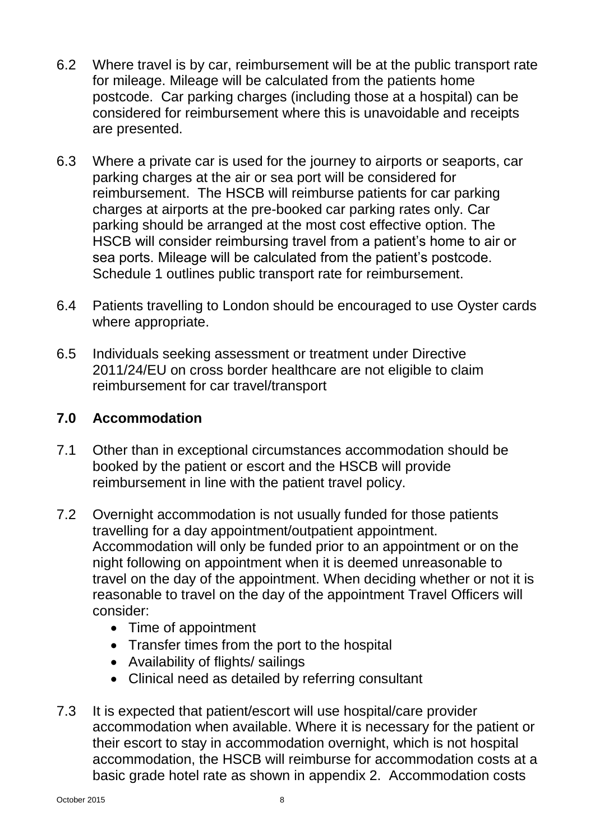- 6.2 Where travel is by car, reimbursement will be at the public transport rate for mileage. Mileage will be calculated from the patients home postcode. Car parking charges (including those at a hospital) can be considered for reimbursement where this is unavoidable and receipts are presented.
- 6.3 Where a private car is used for the journey to airports or seaports, car parking charges at the air or sea port will be considered for reimbursement. The HSCB will reimburse patients for car parking charges at airports at the pre-booked car parking rates only. Car parking should be arranged at the most cost effective option. The HSCB will consider reimbursing travel from a patient's home to air or sea ports. Mileage will be calculated from the patient's postcode. Schedule 1 outlines public transport rate for reimbursement.
- 6.4 Patients travelling to London should be encouraged to use Oyster cards where appropriate.
- 6.5 Individuals seeking assessment or treatment under Directive 2011/24/EU on cross border healthcare are not eligible to claim reimbursement for car travel/transport

# **7.0 Accommodation**

- 7.1 Other than in exceptional circumstances accommodation should be booked by the patient or escort and the HSCB will provide reimbursement in line with the patient travel policy.
- 7.2 Overnight accommodation is not usually funded for those patients travelling for a day appointment/outpatient appointment. Accommodation will only be funded prior to an appointment or on the night following on appointment when it is deemed unreasonable to travel on the day of the appointment. When deciding whether or not it is reasonable to travel on the day of the appointment Travel Officers will consider:
	- Time of appointment
	- Transfer times from the port to the hospital
	- Availability of flights/ sailings
	- Clinical need as detailed by referring consultant
- 7.3 It is expected that patient/escort will use hospital/care provider accommodation when available. Where it is necessary for the patient or their escort to stay in accommodation overnight, which is not hospital accommodation, the HSCB will reimburse for accommodation costs at a basic grade hotel rate as shown in appendix 2. Accommodation costs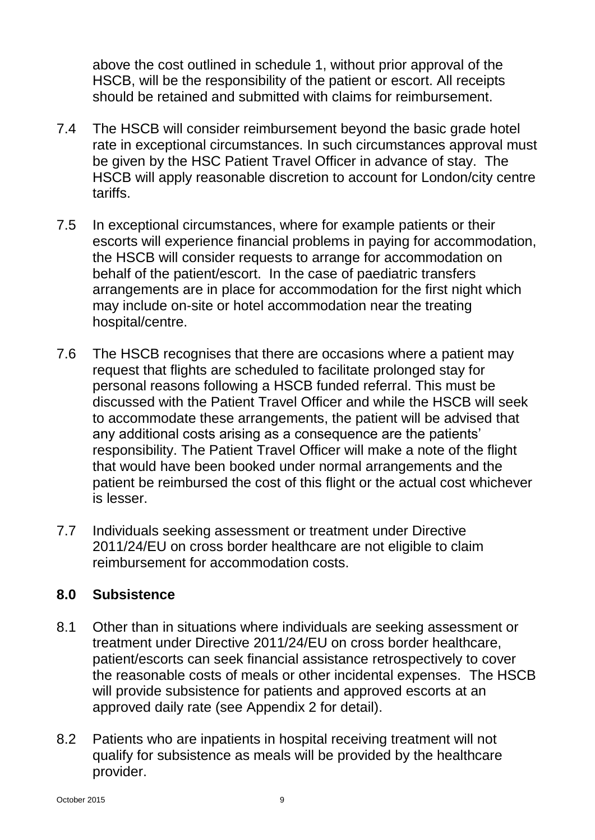above the cost outlined in schedule 1, without prior approval of the HSCB, will be the responsibility of the patient or escort. All receipts should be retained and submitted with claims for reimbursement.

- 7.4 The HSCB will consider reimbursement beyond the basic grade hotel rate in exceptional circumstances. In such circumstances approval must be given by the HSC Patient Travel Officer in advance of stay. The HSCB will apply reasonable discretion to account for London/city centre tariffs.
- 7.5 In exceptional circumstances, where for example patients or their escorts will experience financial problems in paying for accommodation, the HSCB will consider requests to arrange for accommodation on behalf of the patient/escort. In the case of paediatric transfers arrangements are in place for accommodation for the first night which may include on-site or hotel accommodation near the treating hospital/centre.
- 7.6 The HSCB recognises that there are occasions where a patient may request that flights are scheduled to facilitate prolonged stay for personal reasons following a HSCB funded referral. This must be discussed with the Patient Travel Officer and while the HSCB will seek to accommodate these arrangements, the patient will be advised that any additional costs arising as a consequence are the patients' responsibility. The Patient Travel Officer will make a note of the flight that would have been booked under normal arrangements and the patient be reimbursed the cost of this flight or the actual cost whichever is lesser.
- 7.7 Individuals seeking assessment or treatment under Directive 2011/24/EU on cross border healthcare are not eligible to claim reimbursement for accommodation costs.

## **8.0 Subsistence**

- 8.1 Other than in situations where individuals are seeking assessment or treatment under Directive 2011/24/EU on cross border healthcare, patient/escorts can seek financial assistance retrospectively to cover the reasonable costs of meals or other incidental expenses. The HSCB will provide subsistence for patients and approved escorts at an approved daily rate (see Appendix 2 for detail).
- 8.2 Patients who are inpatients in hospital receiving treatment will not qualify for subsistence as meals will be provided by the healthcare provider.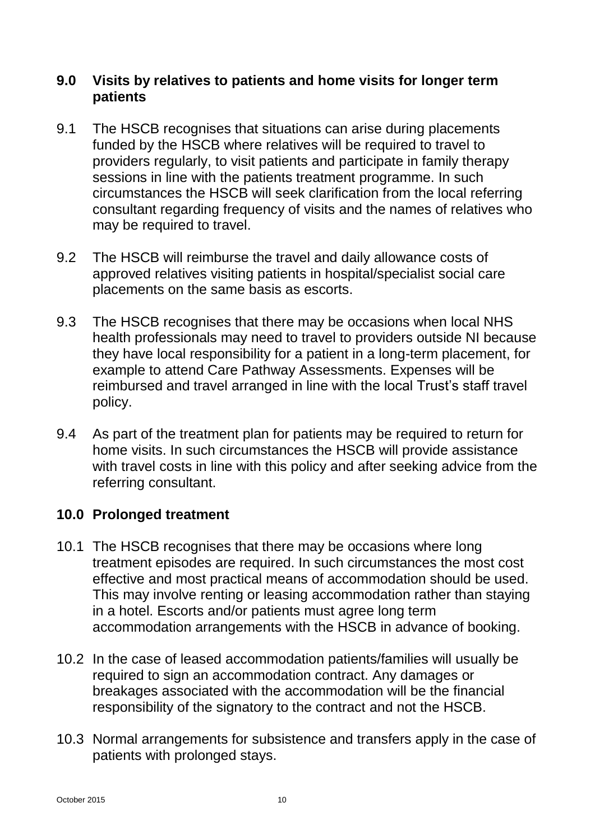## **9.0 Visits by relatives to patients and home visits for longer term patients**

- 9.1 The HSCB recognises that situations can arise during placements funded by the HSCB where relatives will be required to travel to providers regularly, to visit patients and participate in family therapy sessions in line with the patients treatment programme. In such circumstances the HSCB will seek clarification from the local referring consultant regarding frequency of visits and the names of relatives who may be required to travel.
- 9.2 The HSCB will reimburse the travel and daily allowance costs of approved relatives visiting patients in hospital/specialist social care placements on the same basis as escorts.
- 9.3 The HSCB recognises that there may be occasions when local NHS health professionals may need to travel to providers outside NI because they have local responsibility for a patient in a long-term placement, for example to attend Care Pathway Assessments. Expenses will be reimbursed and travel arranged in line with the local Trust's staff travel policy.
- 9.4 As part of the treatment plan for patients may be required to return for home visits. In such circumstances the HSCB will provide assistance with travel costs in line with this policy and after seeking advice from the referring consultant.

## **10.0 Prolonged treatment**

- 10.1 The HSCB recognises that there may be occasions where long treatment episodes are required. In such circumstances the most cost effective and most practical means of accommodation should be used. This may involve renting or leasing accommodation rather than staying in a hotel. Escorts and/or patients must agree long term accommodation arrangements with the HSCB in advance of booking.
- 10.2 In the case of leased accommodation patients/families will usually be required to sign an accommodation contract. Any damages or breakages associated with the accommodation will be the financial responsibility of the signatory to the contract and not the HSCB.
- 10.3 Normal arrangements for subsistence and transfers apply in the case of patients with prolonged stays.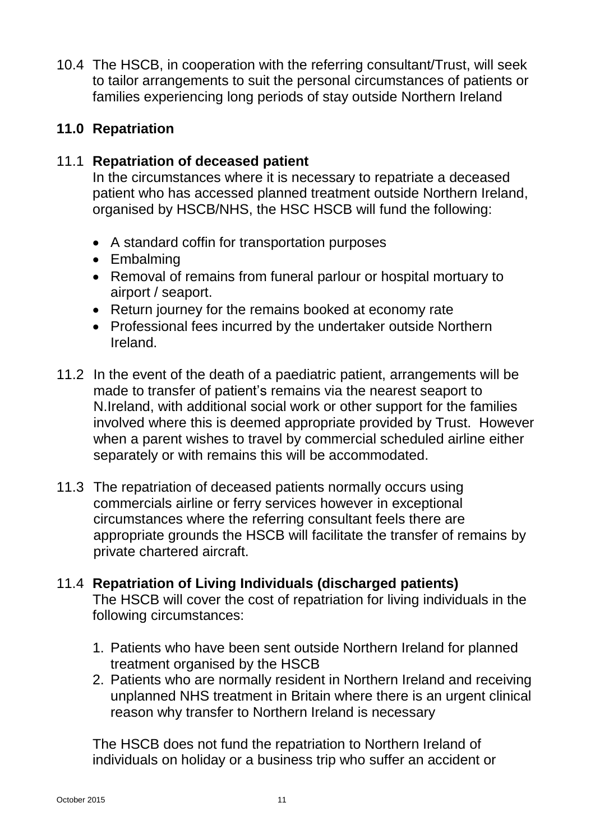10.4 The HSCB, in cooperation with the referring consultant/Trust, will seek to tailor arrangements to suit the personal circumstances of patients or families experiencing long periods of stay outside Northern Ireland

# **11.0 Repatriation**

## 11.1 **Repatriation of deceased patient**

In the circumstances where it is necessary to repatriate a deceased patient who has accessed planned treatment outside Northern Ireland, organised by HSCB/NHS, the HSC HSCB will fund the following:

- A standard coffin for transportation purposes
- Embalming
- Removal of remains from funeral parlour or hospital mortuary to airport / seaport.
- Return journey for the remains booked at economy rate
- Professional fees incurred by the undertaker outside Northern Ireland.
- 11.2 In the event of the death of a paediatric patient, arrangements will be made to transfer of patient's remains via the nearest seaport to N.Ireland, with additional social work or other support for the families involved where this is deemed appropriate provided by Trust. However when a parent wishes to travel by commercial scheduled airline either separately or with remains this will be accommodated.
- 11.3 The repatriation of deceased patients normally occurs using commercials airline or ferry services however in exceptional circumstances where the referring consultant feels there are appropriate grounds the HSCB will facilitate the transfer of remains by private chartered aircraft.

# 11.4 **Repatriation of Living Individuals (discharged patients)** The HSCB will cover the cost of repatriation for living individuals in the following circumstances:

- 1. Patients who have been sent outside Northern Ireland for planned treatment organised by the HSCB
- 2. Patients who are normally resident in Northern Ireland and receiving unplanned NHS treatment in Britain where there is an urgent clinical reason why transfer to Northern Ireland is necessary

The HSCB does not fund the repatriation to Northern Ireland of individuals on holiday or a business trip who suffer an accident or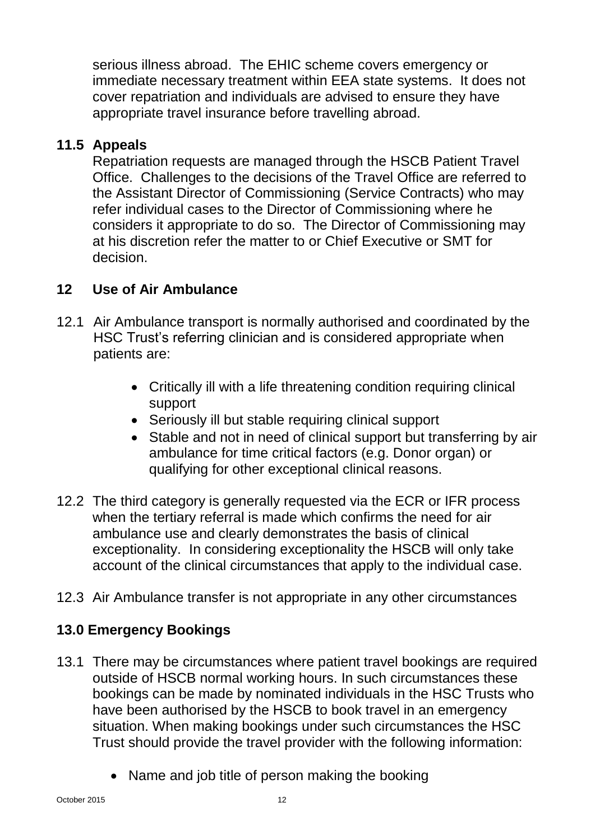serious illness abroad. The EHIC scheme covers emergency or immediate necessary treatment within EEA state systems. It does not cover repatriation and individuals are advised to ensure they have appropriate travel insurance before travelling abroad.

# **11.5 Appeals**

Repatriation requests are managed through the HSCB Patient Travel Office. Challenges to the decisions of the Travel Office are referred to the Assistant Director of Commissioning (Service Contracts) who may refer individual cases to the Director of Commissioning where he considers it appropriate to do so. The Director of Commissioning may at his discretion refer the matter to or Chief Executive or SMT for decision.

# **12 Use of Air Ambulance**

- 12.1 Air Ambulance transport is normally authorised and coordinated by the HSC Trust's referring clinician and is considered appropriate when patients are:
	- Critically ill with a life threatening condition requiring clinical support
	- Seriously ill but stable requiring clinical support
	- Stable and not in need of clinical support but transferring by air ambulance for time critical factors (e.g. Donor organ) or qualifying for other exceptional clinical reasons.
- 12.2 The third category is generally requested via the ECR or IFR process when the tertiary referral is made which confirms the need for air ambulance use and clearly demonstrates the basis of clinical exceptionality. In considering exceptionality the HSCB will only take account of the clinical circumstances that apply to the individual case.
- 12.3 Air Ambulance transfer is not appropriate in any other circumstances

# **13.0 Emergency Bookings**

- 13.1 There may be circumstances where patient travel bookings are required outside of HSCB normal working hours. In such circumstances these bookings can be made by nominated individuals in the HSC Trusts who have been authorised by the HSCB to book travel in an emergency situation. When making bookings under such circumstances the HSC Trust should provide the travel provider with the following information:
	- Name and job title of person making the booking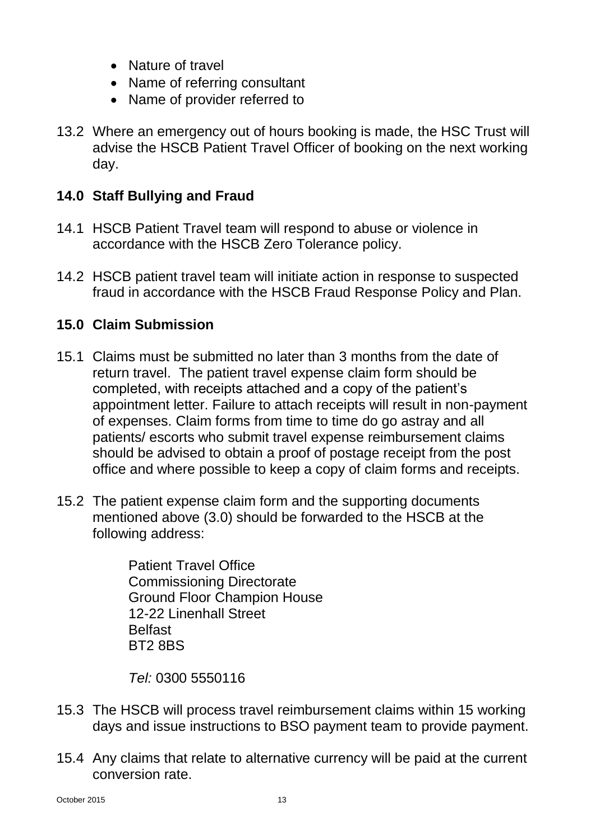- Nature of travel
- Name of referring consultant
- Name of provider referred to
- 13.2 Where an emergency out of hours booking is made, the HSC Trust will advise the HSCB Patient Travel Officer of booking on the next working day.

# **14.0 Staff Bullying and Fraud**

- 14.1 HSCB Patient Travel team will respond to abuse or violence in accordance with the HSCB Zero Tolerance policy.
- 14.2 HSCB patient travel team will initiate action in response to suspected fraud in accordance with the HSCB Fraud Response Policy and Plan.

# **15.0 Claim Submission**

- 15.1 Claims must be submitted no later than 3 months from the date of return travel. The patient travel expense claim form should be completed, with receipts attached and a copy of the patient's appointment letter. Failure to attach receipts will result in non-payment of expenses. Claim forms from time to time do go astray and all patients/ escorts who submit travel expense reimbursement claims should be advised to obtain a proof of postage receipt from the post office and where possible to keep a copy of claim forms and receipts.
- 15.2 The patient expense claim form and the supporting documents mentioned above (3.0) should be forwarded to the HSCB at the following address:

Patient Travel Office Commissioning Directorate Ground Floor Champion House 12-22 Linenhall Street Belfast BT2 8BS

*Tel:* 0300 5550116

- 15.3 The HSCB will process travel reimbursement claims within 15 working days and issue instructions to BSO payment team to provide payment.
- 15.4 Any claims that relate to alternative currency will be paid at the current conversion rate.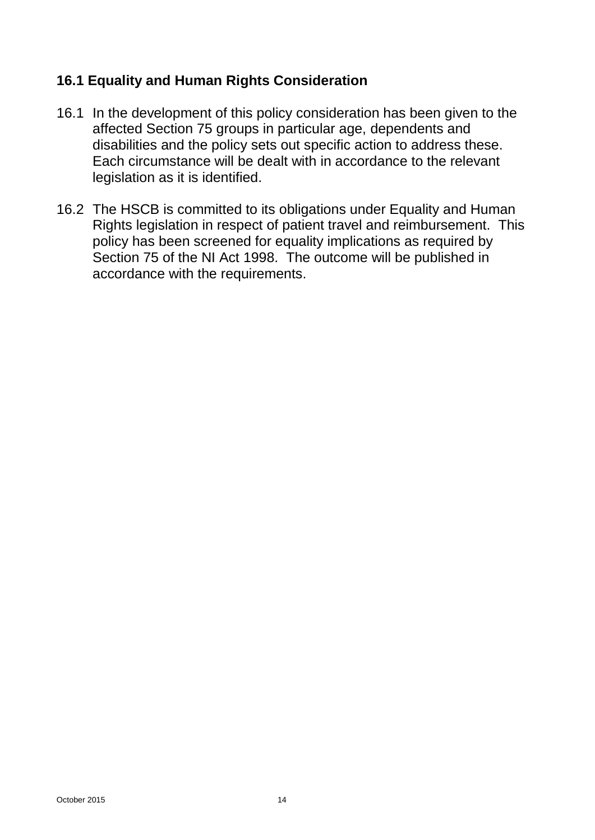# **16.1 Equality and Human Rights Consideration**

- 16.1 In the development of this policy consideration has been given to the affected Section 75 groups in particular age, dependents and disabilities and the policy sets out specific action to address these. Each circumstance will be dealt with in accordance to the relevant legislation as it is identified.
- 16.2 The HSCB is committed to its obligations under Equality and Human Rights legislation in respect of patient travel and reimbursement. This policy has been screened for equality implications as required by Section 75 of the NI Act 1998. The outcome will be published in accordance with the requirements.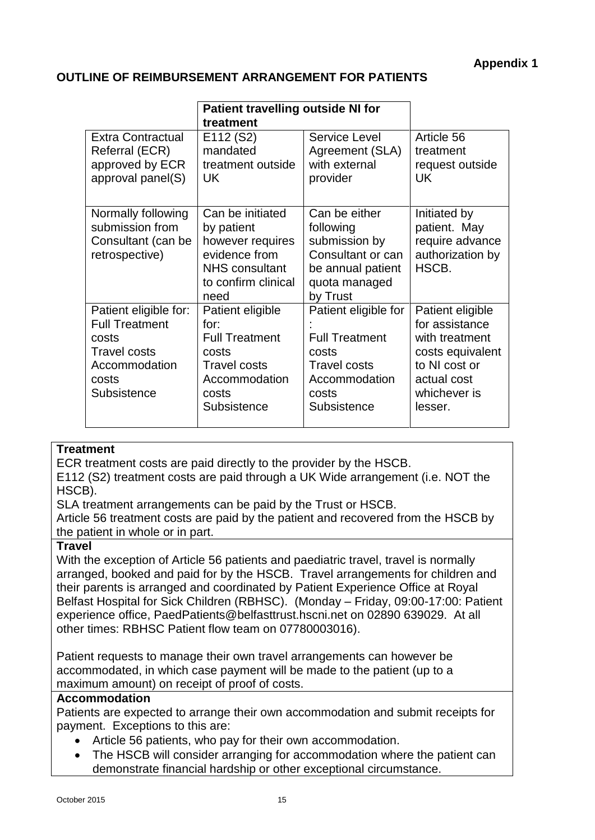#### **OUTLINE OF REIMBURSEMENT ARRANGEMENT FOR PATIENTS**

|                                                                                                                         | <b>Patient travelling outside NI for</b><br>treatment                                                                       |                                                                                                                        |                                                                                                                                     |
|-------------------------------------------------------------------------------------------------------------------------|-----------------------------------------------------------------------------------------------------------------------------|------------------------------------------------------------------------------------------------------------------------|-------------------------------------------------------------------------------------------------------------------------------------|
| <b>Extra Contractual</b><br>Referral (ECR)<br>approved by ECR<br>approval panel(S)                                      | E112 (S2)<br>mandated<br>treatment outside<br><b>UK</b>                                                                     | Service Level<br>Agreement (SLA)<br>with external<br>provider                                                          | Article 56<br>treatment<br>request outside<br>UK.                                                                                   |
| Normally following<br>submission from<br>Consultant (can be<br>retrospective)                                           | Can be initiated<br>by patient<br>however requires<br>evidence from<br><b>NHS</b> consultant<br>to confirm clinical<br>need | Can be either<br>following<br>submission by<br>Consultant or can<br>be annual patient<br>quota managed<br>by Trust     | Initiated by<br>patient. May<br>require advance<br>authorization by<br>HSCB.                                                        |
| Patient eligible for:<br><b>Full Treatment</b><br>costs<br><b>Travel costs</b><br>Accommodation<br>costs<br>Subsistence | Patient eligible<br>for:<br><b>Full Treatment</b><br>costs<br><b>Travel costs</b><br>Accommodation<br>costs<br>Subsistence  | Patient eligible for<br><b>Full Treatment</b><br>costs<br><b>Travel costs</b><br>Accommodation<br>costs<br>Subsistence | Patient eligible<br>for assistance<br>with treatment<br>costs equivalent<br>to NI cost or<br>actual cost<br>whichever is<br>lesser. |

#### **Treatment**

ECR treatment costs are paid directly to the provider by the HSCB.

E112 (S2) treatment costs are paid through a UK Wide arrangement (i.e. NOT the HSCB).

SLA treatment arrangements can be paid by the Trust or HSCB.

Article 56 treatment costs are paid by the patient and recovered from the HSCB by the patient in whole or in part.

#### **Travel**

With the exception of Article 56 patients and paediatric travel, travel is normally arranged, booked and paid for by the HSCB. Travel arrangements for children and their parents is arranged and coordinated by Patient Experience Office at Royal Belfast Hospital for Sick Children (RBHSC). (Monday – Friday, 09:00-17:00: Patient experience office, PaedPatients@belfasttrust.hscni.net on 02890 639029. At all other times: RBHSC Patient flow team on 07780003016).

Patient requests to manage their own travel arrangements can however be accommodated, in which case payment will be made to the patient (up to a maximum amount) on receipt of proof of costs.

#### **Accommodation**

Patients are expected to arrange their own accommodation and submit receipts for payment. Exceptions to this are:

- Article 56 patients, who pay for their own accommodation.
- The HSCB will consider arranging for accommodation where the patient can demonstrate financial hardship or other exceptional circumstance.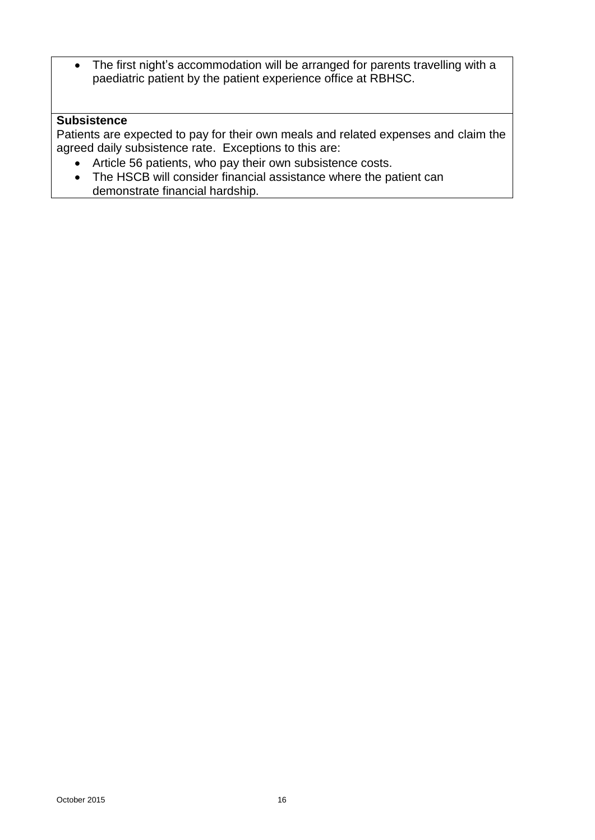• The first night's accommodation will be arranged for parents travelling with a paediatric patient by the patient experience office at RBHSC.

#### **Subsistence**

Patients are expected to pay for their own meals and related expenses and claim the agreed daily subsistence rate. Exceptions to this are:

- Article 56 patients, who pay their own subsistence costs.
- The HSCB will consider financial assistance where the patient can demonstrate financial hardship.